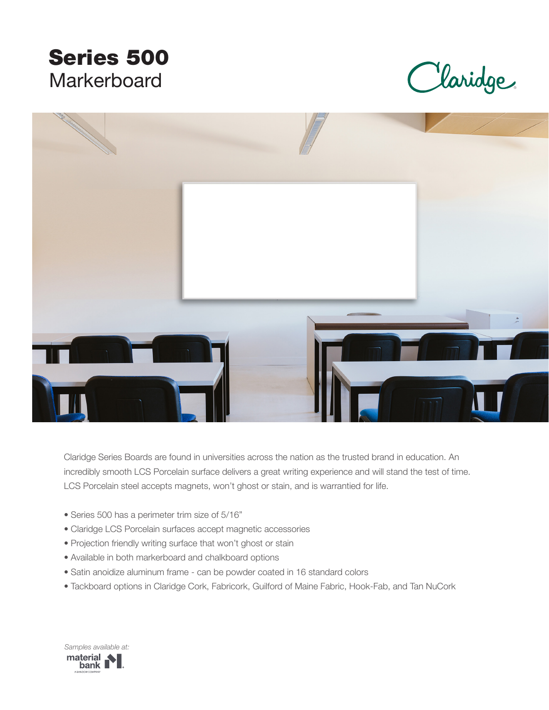# Series 500 **Markerboard**

Maridge



Claridge Series Boards are found in universities across the nation as the trusted brand in education. An incredibly smooth LCS Porcelain surface delivers a great writing experience and will stand the test of time. LCS Porcelain steel accepts magnets, won't ghost or stain, and is warrantied for life.

- Series 500 has a perimeter trim size of 5/16"
- Claridge LCS Porcelain surfaces accept magnetic accessories
- Projection friendly writing surface that won't ghost or stain
- Available in both markerboard and chalkboard options
- Satin anoidize aluminum frame can be powder coated in 16 standard colors
- Tackboard options in Claridge Cork, Fabricork, Guilford of Maine Fabric, Hook-Fab, and Tan NuCork